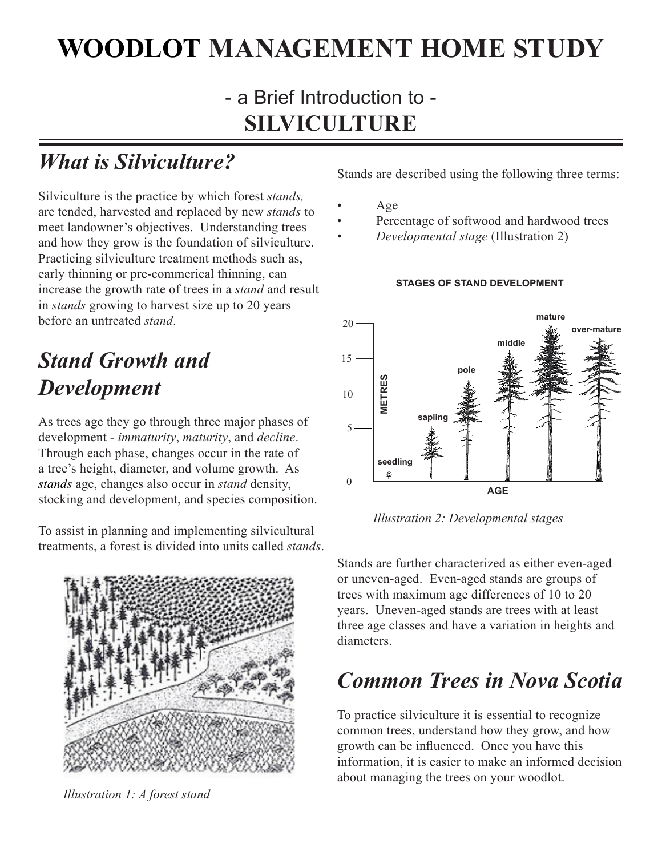# **WOODLOT MANAGEMENT HOME STUDY**

## - a Brief Introduction to - **SILVICULTURE**

# *What is Silviculture?*

Silviculture is the practice by which forest *stands,*  are tended, harvested and replaced by new *stands* to meet landowner's objectives. Understanding trees and how they grow is the foundation of silviculture. Practicing silviculture treatment methods such as, early thinning or pre-commerical thinning, can increase the growth rate of trees in a *stand* and result in *stands* growing to harvest size up to 20 years before an untreated *stand*.

## *Stand Growth and Development*

As trees age they go through three major phases of development - *immaturity*, *maturity*, and *decline*. Through each phase, changes occur in the rate of a tree's height, diameter, and volume growth. As *stands* age, changes also occur in *stand* density, stocking and development, and species composition.

To assist in planning and implementing silvicultural treatments, a forest is divided into units called *stands*.



*Illustration 1: A forest stand*

Stands are described using the following three terms:

- Age
- Percentage of softwood and hardwood trees
- *Developmental stage* (Illustration 2)



#### **STAGES OF STAND DEVELOPMENT**

*Illustration 2: Developmental stages*

Stands are further characterized as either even-aged or uneven-aged. Even-aged stands are groups of trees with maximum age differences of 10 to 20 years. Uneven-aged stands are trees with at least three age classes and have a variation in heights and diameters.

## *Common Trees in Nova Scotia*

To practice silviculture it is essential to recognize common trees, understand how they grow, and how growth can be influenced. Once you have this information, it is easier to make an informed decision about managing the trees on your woodlot.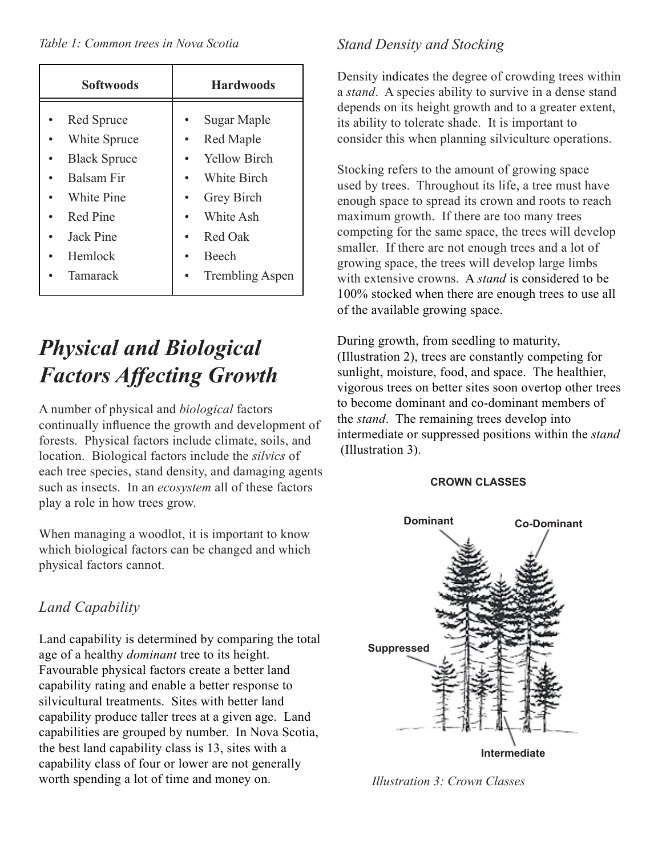| <b>Softwoods</b>    | <b>Hardwoods</b>       |
|---------------------|------------------------|
| Red Spruce          | Sugar Maple            |
| White Spruce        | Red Maple              |
| <b>Black Spruce</b> | <b>Yellow Birch</b>    |
| <b>Balsam Fir</b>   | White Birch            |
| White Pine          | Grey Birch             |
| Red Pine            | White Ash              |
| Jack Pine           | Red Oak                |
| Hemlock             | <b>Beech</b>           |
| Tamarack            | <b>Trembling Aspen</b> |

# *Physical and Biological Factors Affecting Growth*

A number of physical and *biological* factors continually influence the growth and development of forests. Physical factors include climate, soils, and location. Biological factors include the *silvics* of each tree species, stand density, and damaging agents such as insects. In an *ecosystem* all of these factors play a role in how trees grow.

When managing a woodlot, it is important to know which biological factors can be changed and which physical factors cannot.

### *Land Capability*

Land capability is determined by comparing the total age of a healthy *dominant* tree to its height. Favourable physical factors create a better land capability rating and enable a better response to silvicultural treatments. Sites with better land capability produce taller trees at a given age. Land capabilities are grouped by number. In Nova Scotia, the best land capability class is 13, sites with a capability class of four or lower are not generally worth spending a lot of time and money on.

### *Stand Density and Stocking*

Density indicates the degree of crowding trees within a *stand*. A species ability to survive in a dense stand depends on its height growth and to a greater extent, its ability to tolerate shade. It is important to consider this when planning silviculture operations.

Stocking refers to the amount of growing space used by trees. Throughout its life, a tree must have enough space to spread its crown and roots to reach maximum growth. If there are too many trees competing for the same space, the trees will develop smaller. If there are not enough trees and a lot of growing space, the trees will develop large limbs with extensive crowns. A *stand* is considered to be 100% stocked when there are enough trees to use all of the available growing space.

During growth, from seedling to maturity, (Illustration 2), trees are constantly competing for sunlight, moisture, food, and space. The healthier, vigorous trees on better sites soon overtop other trees to become dominant and co-dominant members of the *stand*. The remaining trees develop into intermediate or suppressed positions within the *stand* (Illustration 3).

#### **CROWN CLASSES**



*Illustration 3: Crown Classes*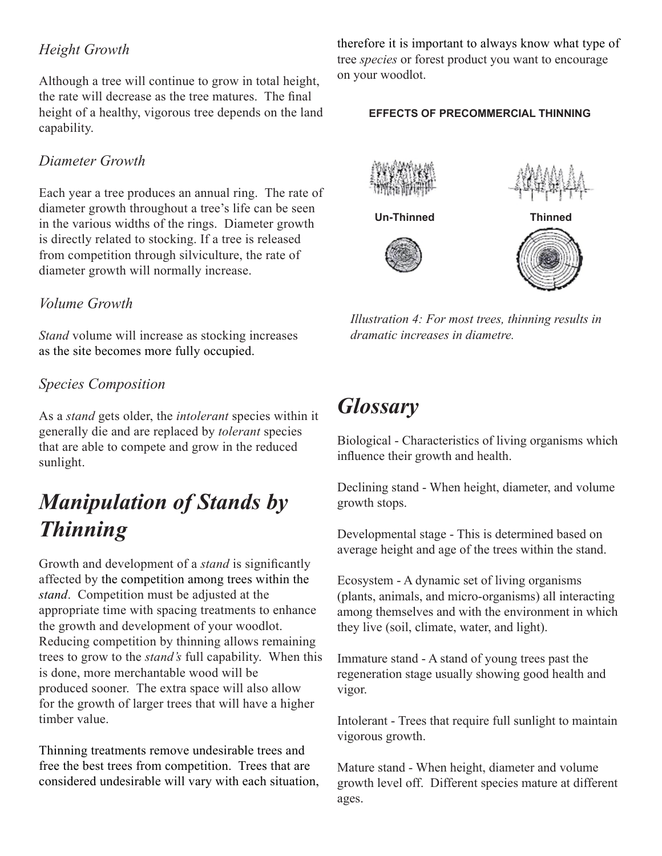### *Height Growth*

Although a tree will continue to grow in total height, the rate will decrease as the tree matures. The final height of a healthy, vigorous tree depends on the land capability.

#### *Diameter Growth*

Each year a tree produces an annual ring. The rate of diameter growth throughout a tree's life can be seen in the various widths of the rings. Diameter growth is directly related to stocking. If a tree is released from competition through silviculture, the rate of diameter growth will normally increase.

#### *Volume Growth*

*Stand* volume will increase as stocking increases as the site becomes more fully occupied.

#### *Species Composition*

As a *stand* gets older, the *intolerant* species within it generally die and are replaced by *tolerant* species that are able to compete and grow in the reduced sunlight.

## *Manipulation of Stands by Thinning*

Growth and development of a *stand* is significantly affected by the competition among trees within the *stand*. Competition must be adjusted at the appropriate time with spacing treatments to enhance the growth and development of your woodlot. Reducing competition by thinning allows remaining trees to grow to the *stand's* full capability. When this is done, more merchantable wood will be produced sooner. The extra space will also allow for the growth of larger trees that will have a higher timber value.

Thinning treatments remove undesirable trees and free the best trees from competition. Trees that are considered undesirable will vary with each situation, therefore it is important to always know what type of tree *species* or forest product you want to encourage on your woodlot.

#### **EFFECTS OF PRECOMMERCIAL THINNING**



*Illustration 4: For most trees, thinning results in dramatic increases in diametre.*

### *Glossary*

Biological - Characteristics of living organisms which influence their growth and health.

Declining stand - When height, diameter, and volume growth stops.

Developmental stage - This is determined based on average height and age of the trees within the stand.

Ecosystem - A dynamic set of living organisms (plants, animals, and micro-organisms) all interacting among themselves and with the environment in which they live (soil, climate, water, and light).

Immature stand - A stand of young trees past the regeneration stage usually showing good health and vigor.

Intolerant - Trees that require full sunlight to maintain vigorous growth.

Mature stand - When height, diameter and volume growth level off. Different species mature at different ages.